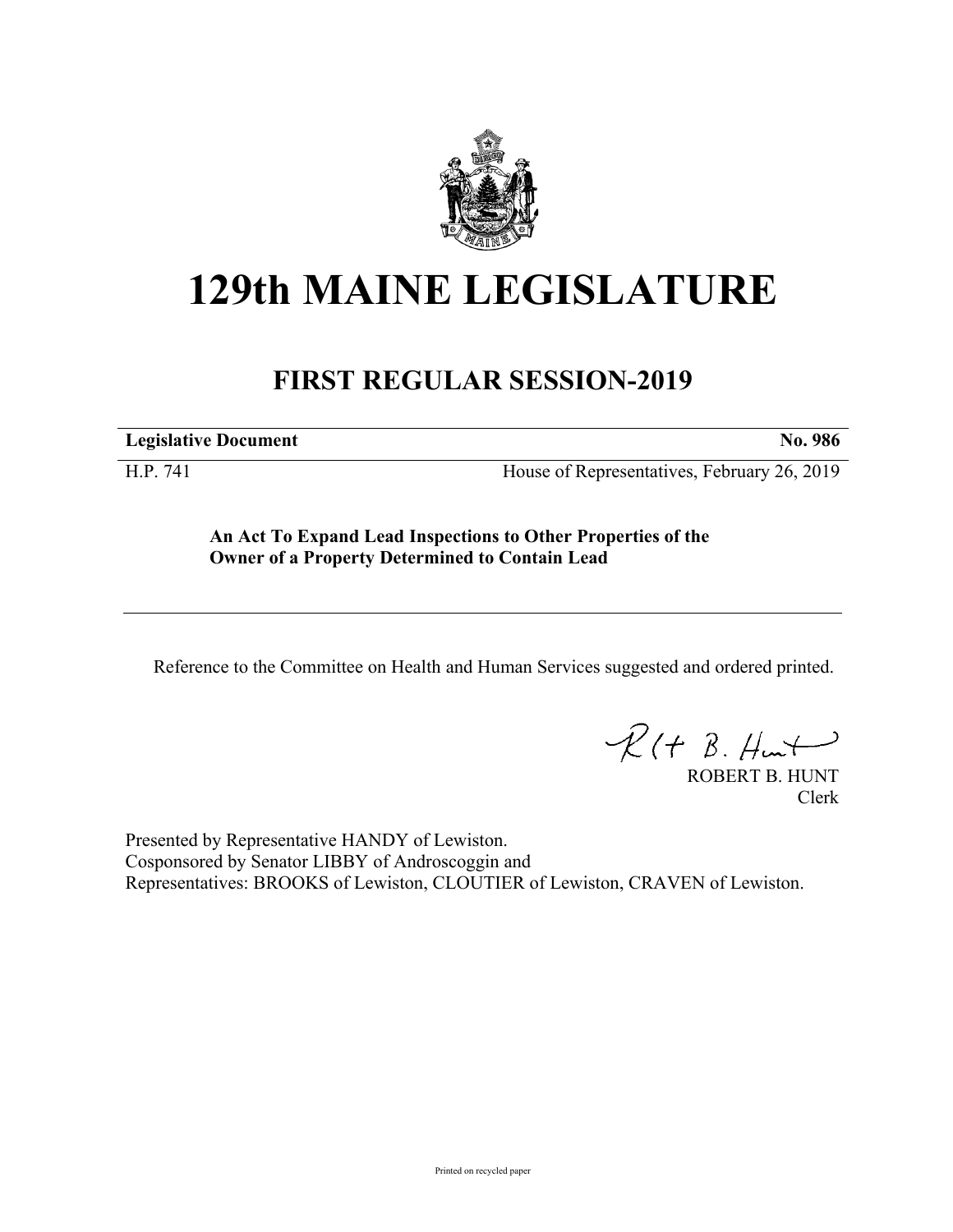

## **129th MAINE LEGISLATURE**

## **FIRST REGULAR SESSION-2019**

**Legislative Document No. 986**

H.P. 741 House of Representatives, February 26, 2019

**An Act To Expand Lead Inspections to Other Properties of the Owner of a Property Determined to Contain Lead**

Reference to the Committee on Health and Human Services suggested and ordered printed.

 $R(t B. Hmt)$ 

ROBERT B. HUNT Clerk

Presented by Representative HANDY of Lewiston. Cosponsored by Senator LIBBY of Androscoggin and Representatives: BROOKS of Lewiston, CLOUTIER of Lewiston, CRAVEN of Lewiston.